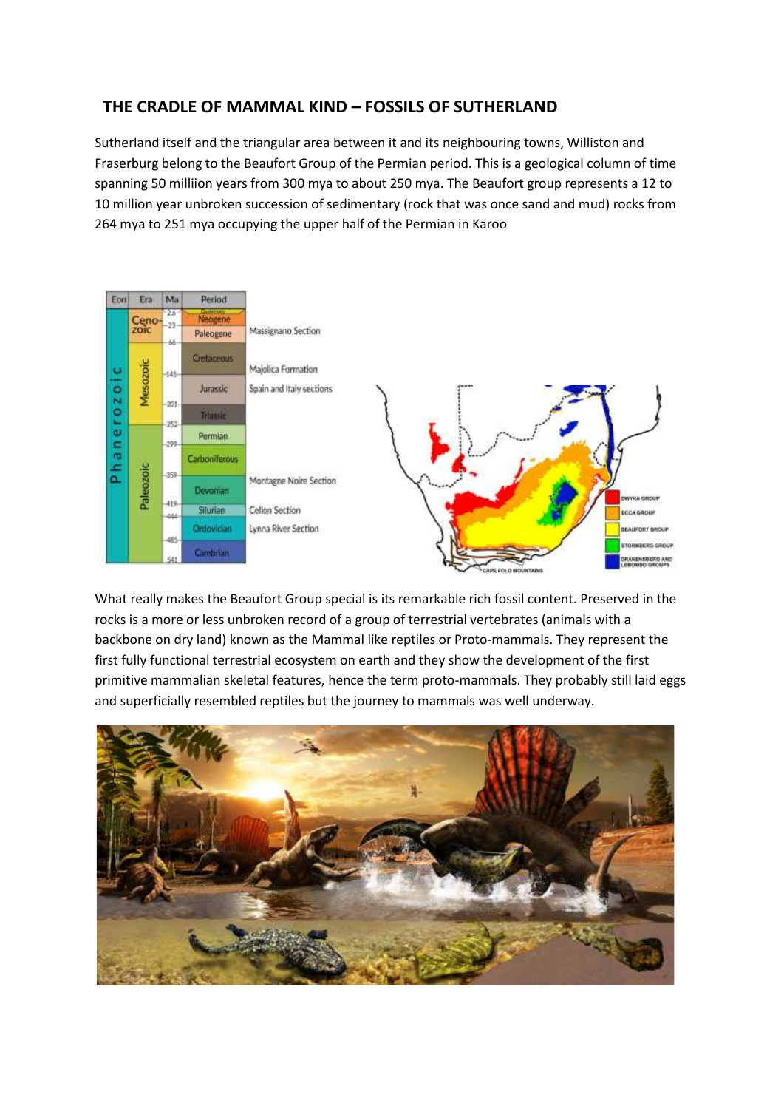## **THE CRADLE OF MAMMAL KIND – FOSSILS OF SUTHERLAND**

Sutherland itself and the triangular area between it and its neighbouring towns, Williston and Fraserburg belong to the Beaufort Group of the Permian period. This is a geological column of time spanning 50 milliion years from 300 mya to about 250 mya. The Beaufort group represents a 12 to 10 million year unbroken succession of sedimentary (rock that was once sand and mud) rocks from 264 mya to 251 mya occupying the upper half of the Permian in Karoo



What really makes the Beaufort Group special is its remarkable rich fossil content. Preserved in the rocks is a more or less unbroken record of a group of terrestrial vertebrates (animals with a backbone on dry land) known as the Mammal like reptiles or Proto-mammals. They represent the first fully functional terrestrial ecosystem on earth and they show the development of the first primitive mammalian skeletal features, hence the term proto-mammals. They probably still laid eggs and superficially resembled reptiles but the journey to mammals was well underway.